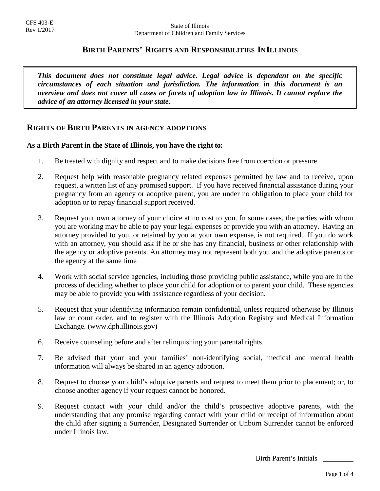# **BIRTH PARENTS' RIGHTS AND RESPONSIBILITIES IN ILLINOIS**

*This document does not constitute legal advice. Legal advice is dependent on the specific circumstances of each situation and jurisdiction. The information in this document is an overview and does not cover all cases or facets of adoption law in Illinois. It cannot replace the advice of an attorney licensed in your state.* 

## **RIGHTS OF BIRTH PARENTS IN AGENCY ADOPTIONS**

## **As a Birth Parent in the State of Illinois, you have the right to:**

- 1. Be treated with dignity and respect and to make decisions free from coercion or pressure.
- 2. Request help with reasonable pregnancy related expenses permitted by law and to receive, upon request, a written list of any promised support. If you have received financial assistance during your pregnancy from an agency or adoptive parent, you are under no obligation to place your child for adoption or to repay financial support received.
- 3. Request your own attorney of your choice at no cost to you. In some cases, the parties with whom you are working may be able to pay your legal expenses or provide you with an attorney. Having an attorney provided to you, or retained by you at your own expense, is not required. If you do work with an attorney, you should ask if he or she has any financial, business or other relationship with the agency or adoptive parents. An attorney may not represent both you and the adoptive parents or the agency at the same time
- 4. Work with social service agencies, including those providing public assistance, while you are in the process of deciding whether to place your child for adoption or to parent your child. These agencies may be able to provide you with assistance regardless of your decision.
- 5. Request that your identifying information remain confidential, unless required otherwise by Illinois law or court order, and to register with the Illinois Adoption Registry and Medical Information Exchange. (www.dph.illinois.gov)
- 6. Receive counseling before and after relinquishing your parental rights.
- 7. Be advised that your and your families' non-identifying social, medical and mental health information will always be shared in an agency adoption.
- 8. Request to choose your child's adoptive parents and request to meet them prior to placement; or, to choose another agency if your request cannot be honored.
- 9. Request contact with your child and/or the child's prospective adoptive parents, with the understanding that any promise regarding contact with your child or receipt of information about the child after signing a Surrender, Designated Surrender or Unborn Surrender cannot be enforced under Illinois law.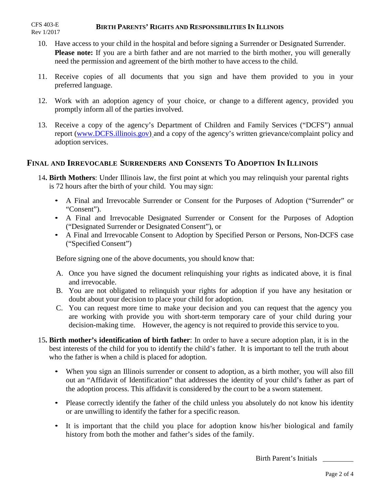#### **BIRTH PARENTS' RIGHTS AND RESPONSIBILITIES IN ILLINOIS** CFS 403-E Rev 1/2017

- 10. Have access to your child in the hospital and before signing a Surrender or Designated Surrender. **Please note:** If you are a birth father and are not married to the birth mother, you will generally need the permission and agreement of the birth mother to have access to the child.
- 11. Receive copies of all documents that you sign and have them provided to you in your preferred language.
- 12. Work with an adoption agency of your choice, or change to a different agency, provided you promptly inform all of the parties involved.
- 13. Receive a copy of the [agency's](http://www.dcfs.illinois.gov)/) Department of Children and Family Services ("DCFS") annual report (www.DCFS.illinois.gov) and a copy of the agency's written grievance/complaint policy and adoption services.

# **FINAL AND IRREVOCABLE SURRENDERS AND CONSENTS TO ADOPTION IN ILLINOIS**

- 14**. Birth Mothers**: Under Illinois law, the first point at which you may relinquish your parental rights is 72 hours after the birth of your child. You may sign:
	- A Final and Irrevocable Surrender or Consent for the Purposes of Adoption ("Surrender" or "Consent").
	- A Final and Irrevocable Designated Surrender or Consent for the Purposes of Adoption ("Designated Surrender or Designated Consent"), or
	- A Final and Irrevocable Consent to Adoption by Specified Person or Persons, Non-DCFS case ("Specified Consent")

Before signing one of the above documents, you should know that:

- A. Once you have signed the document relinquishing your rights as indicated above, it is final and irrevocable.
- B. You are not obligated to relinquish your rights for adoption if you have any hesitation or doubt about your decision to place your child for adoption.
- C. You can request more time to make your decision and you can request that the agency you are working with provide you with short-term temporary care of your child during your decision-making time. However, the agency is not required to provide this service to you.
- 15**. Birth mother's identification of birth father**: In order to have a secure adoption plan, it is in the best interests of the child for you to identify the child's father. It is important to tell the truth about who the father is when a child is placed for adoption.
	- When you sign an Illinois surrender or consent to adoption, as a birth mother, you will also fill out an "Affidavit of Identification" that addresses the identity of your child's father as part of the adoption process. This affidavit is considered by the court to be a sworn statement.
	- Please correctly identify the father of the child unless you absolutely do not know his identity or are unwilling to identify the father for a specific reason.
	- It is important that the child you place for adoption know his/her biological and family history from both the mother and father's sides of the family.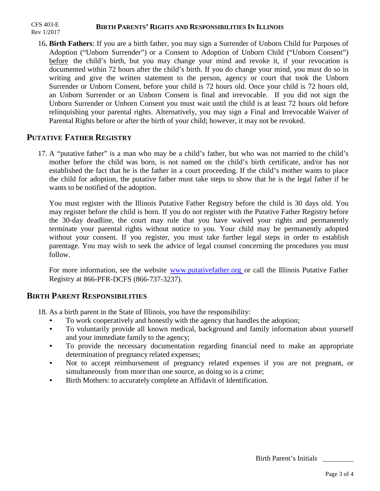#### **BIRTH PARENTS' RIGHTS AND RESPONSIBILITIES IN ILLINOIS** CFS 403-E Rev 1/2017

16**. Birth Fathers**: If you are a birth father, you may sign a Surrender of Unborn Child for Purposes of Adoption ("Unborn Surrender") or a Consent to Adoption of Unborn Child ("Unborn Consent") before the child's birth, but you may change your mind and revoke it, if your revocation is documented within 72 hours after the child's birth. If you do change your mind, you must do so in writing and give the written statement to the person, agency or court that took the Unborn Surrender or Unborn Consent, before your child is 72 hours old. Once your child is 72 hours old, an Unborn Surrender or an Unborn Consent is final and irrevocable. If you did not sign the Unborn Surrender or Unborn Consent you must wait until the child is at least 72 hours old before relinquishing your parental rights. Alternatively, you may sign a Final and Irrevocable Waiver of Parental Rights before or after the birth of your child; however, it may not be revoked.

# **PUTATIVE FATHER REGISTRY**

17. A "putative father" is a man who may be a child's father, but who was not married to the child's mother before the child was born, is not named on the child's birth certificate, and/or has not established the fact that he is the father in a court proceeding. If the child's mother wants to place the child for adoption, the putative father must take steps to show that he is the legal father if he wants to be notified of the adoption.

You must register with the Illinois Putative Father Registry before the child is 30 days old. You may register before the child is born. If you do not register with the Putative Father Registry before the 30-day deadline, the court may rule that you have waived your rights and permanently terminate your parental rights without notice to you. Your child may be permanently adopted without your consent. If you register, you must take further legal steps in order to establish parentage. You may wish to seek the advice of legal counsel concerning the procedures you must follow.

For more information, see the website www.putativefather.org or call the Illinois Putative Father Registry at 866-PFR-DCFS (866-737-3237).

# **BIRTH PARENT RESPONSIBILITIES**

18. As a birth parent in the State of [Illinois, you have the resp](http://www.putativefather.org/)onsibility:

- To work cooperatively and honestly with the agency that handles the adoption;
- To voluntarily provide all known medical, background and family information about yourself and your immediate family to the agency;
- To provide the necessary documentation regarding financial need to make an appropriate determination of pregnancy related expenses;
- Not to accept reimbursement of pregnancy related expenses if you are not pregnant, or simultaneously from more than one source, as doing so is a crime;
- Birth Mothers: to accurately complete an Affidavit of Identification.